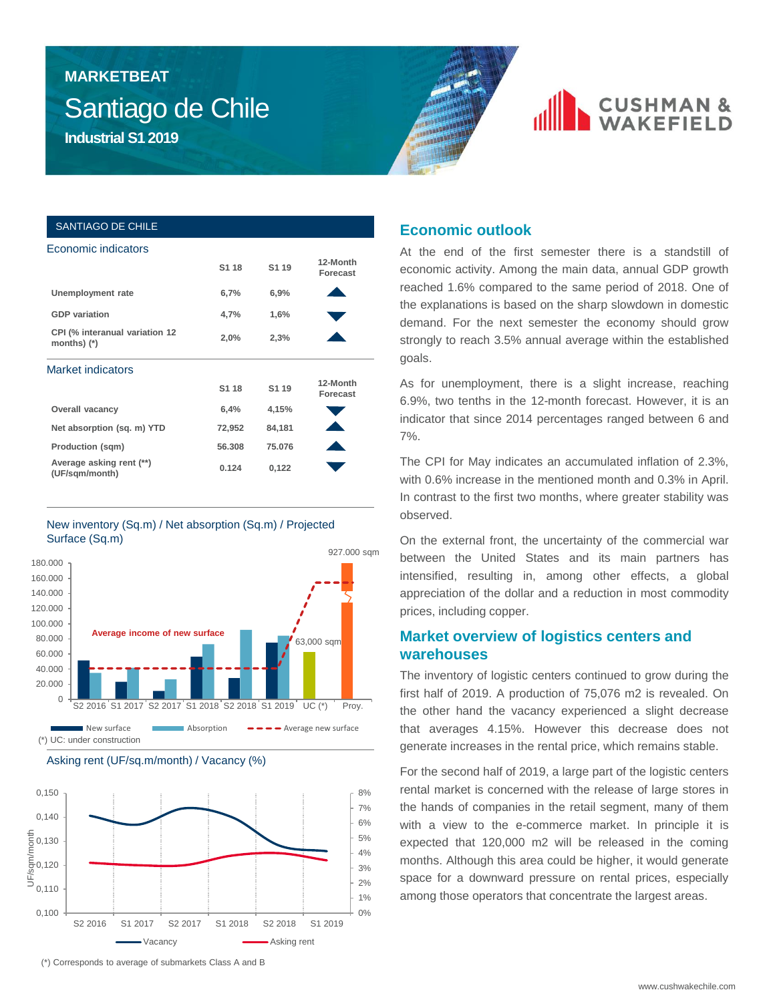# Santiago de Chile **MARKETBEAT**



# **CUSHMAN &**

#### SANTIAGO DE CHILE Economic indicators

|                                                 | S <sub>1</sub> 18 | S <sub>1</sub> 19 | 12-Month<br>Forecast |  |
|-------------------------------------------------|-------------------|-------------------|----------------------|--|
| Unemployment rate                               | 6,7%              | 6,9%              |                      |  |
| <b>GDP</b> variation                            | 4,7%              | 1,6%              |                      |  |
| CPI (% interanual variation 12<br>months) $(*)$ | 2,0%              | 2,3%              |                      |  |
| <b>Market indicators</b>                        |                   |                   |                      |  |
|                                                 | S <sub>1</sub> 18 | S <sub>1</sub> 19 | 12-Month<br>Forecast |  |
| <b>Overall vacancy</b>                          | 6,4%              | 4,15%             |                      |  |
| Net absorption (sq. m) YTD                      | 72,952            | 84,181            |                      |  |
| <b>Production (sqm)</b>                         | 56,308            | 75.076            |                      |  |
| Average asking rent (**)<br>(UF/sqm/month)      | 0.124             | 0,122             |                      |  |
|                                                 |                   |                   |                      |  |

#### New inventory (Sq.m) / Net absorption (Sq.m) / Projected Surface (Sq.m)





S2 2016 S1 2017 S2 2017 S1 2018 S2 2018 S1 2019

Vacancy **Asking rent** 

 $0\%$ 1% 2%

## **Economic outlook**

At the end of the first semester there is a standstill of economic activity. Among the main data, annual GDP growth reached 1.6% compared to the same period of 2018. One of the explanations is based on the sharp slowdown in domestic demand. For the next semester the economy should grow strongly to reach 3.5% annual average within the established goals.

As for unemployment, there is a slight increase, reaching 6.9%, two tenths in the 12-month forecast. However, it is an indicator that since 2014 percentages ranged between 6 and 7%.

The CPI for May indicates an accumulated inflation of 2.3%, with 0.6% increase in the mentioned month and 0.3% in April. In contrast to the first two months, where greater stability was observed.

On the external front, the uncertainty of the commercial war between the United States and its main partners has intensified, resulting in, among other effects, a global appreciation of the dollar and a reduction in most commodity prices, including copper.

### **Market overview of logistics centers and warehouses**

The inventory of logistic centers continued to grow during the first half of 2019. A production of 75,076 m2 is revealed. On the other hand the vacancy experienced a slight decrease that averages 4.15%. However this decrease does not generate increases in the rental price, which remains stable.

For the second half of 2019, a large part of the logistic centers rental market is concerned with the release of large stores in the hands of companies in the retail segment, many of them with a view to the e-commerce market. In principle it is expected that 120,000 m2 will be released in the coming months. Although this area could be higher, it would generate space for a downward pressure on rental prices, especially among those operators that concentrate the largest areas.

(\*) Corresponds to average of submarkets Class A and B

0,100 0,110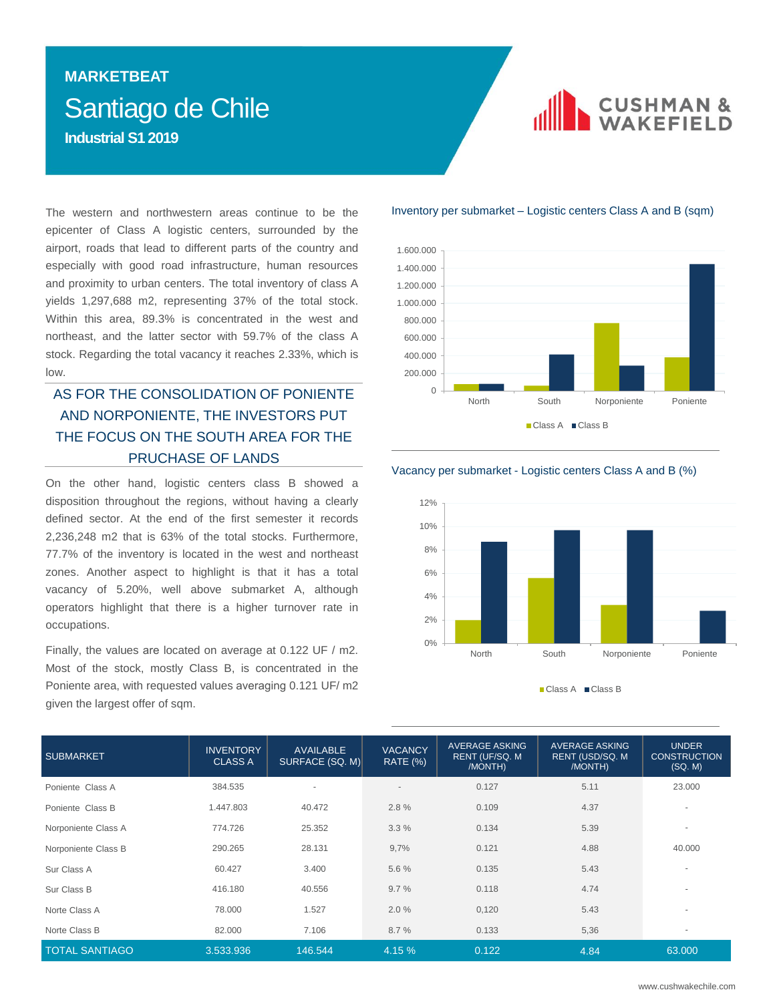## Santiago de Chile **MARKETBEAT Industrial S1 2019**



The western and northwestern areas continue to be the epicenter of Class A logistic centers, surrounded by the airport, roads that lead to different parts of the country and especially with good road infrastructure, human resources and proximity to urban centers. The total inventory of class A yields 1,297,688 m2, representing 37% of the total stock. Within this area, 89.3% is concentrated in the west and northeast, and the latter sector with 59.7% of the class A stock. Regarding the total vacancy it reaches 2.33%, which is low.

### AS FOR THE CONSOLIDATION OF PONIENTE AND NORPONIENTE, THE INVESTORS PUT THE FOCUS ON THE SOUTH AREA FOR THE PRUCHASE OF LANDS

On the other hand, logistic centers class B showed a disposition throughout the regions, without having a clearly defined sector. At the end of the first semester it records 2,236,248 m2 that is 63% of the total stocks. Furthermore, 77.7% of the inventory is located in the west and northeast zones. Another aspect to highlight is that it has a total vacancy of 5.20%, well above submarket A, although operators highlight that there is a higher turnover rate in occupations.

Finally, the values are located on average at 0.122 UF / m2. Most of the stock, mostly Class B, is concentrated in the Poniente area, with requested values averaging 0.121 UF/ m2 given the largest offer of sqm.

#### Inventory per submarket – Logistic centers Class A and B (sqm)



#### Vacancy per submarket - Logistic centers Class A and B (%)



■ Class A ■ Class B

| <b>SUBMARKET</b>      | <b>INVENTORY</b><br><b>CLASS A</b> | <b>AVAILABLE</b><br>SURFACE (SQ. M) | <b>VACANCY</b><br><b>RATE (%)</b> | <b>AVERAGE ASKING</b><br>RENT (UF/SQ. M<br>/MONTH) | <b>AVERAGE ASKING</b><br>RENT (USD/SQ. M<br>/MONTH) | <b>UNDER</b><br><b>CONSTRUCTION</b><br>(SQ, M) |
|-----------------------|------------------------------------|-------------------------------------|-----------------------------------|----------------------------------------------------|-----------------------------------------------------|------------------------------------------------|
| Poniente Class A      | 384.535                            |                                     | $\overline{\phantom{a}}$          | 0.127                                              | 5.11                                                | 23.000                                         |
| Poniente Class B      | 1.447.803                          | 40.472                              | 2.8%                              | 0.109                                              | 4.37                                                | $\sim$                                         |
| Norponiente Class A   | 774.726                            | 25.352                              | 3.3%                              | 0.134                                              | 5.39                                                | $\overline{a}$                                 |
| Norponiente Class B   | 290.265                            | 28.131                              | 9,7%                              | 0.121                                              | 4.88                                                | 40.000                                         |
| Sur Class A           | 60.427                             | 3.400                               | 5.6 %                             | 0.135                                              | 5.43                                                | $\overline{a}$                                 |
| Sur Class B           | 416.180                            | 40.556                              | 9.7%                              | 0.118                                              | 4.74                                                | $\overline{\phantom{a}}$                       |
| Norte Class A         | 78.000                             | 1.527                               | 2.0%                              | 0,120                                              | 5.43                                                | $\overline{a}$                                 |
| Norte Class B         | 82.000                             | 7.106                               | 8.7%                              | 0.133                                              | 5,36                                                | $\overline{\phantom{a}}$                       |
| <b>TOTAL SANTIAGO</b> | 3.533.936                          | 146.544                             | 4.15 %                            | 0.122                                              | 4.84                                                | 63,000                                         |